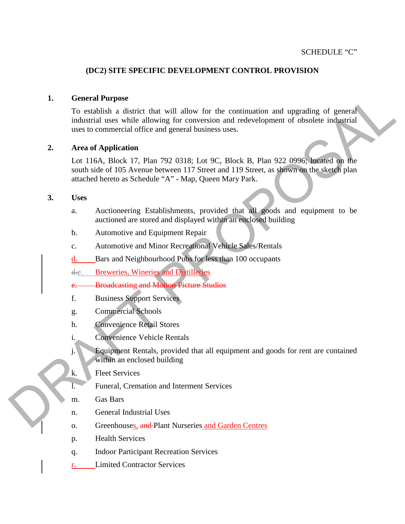## **(DC2) SITE SPECIFIC DEVELOPMENT CONTROL PROVISION**

### **1. General Purpose**

1. General Margaret that will allow for the continuation and upgrading of general<br>induction and is used in the state of conversion and redevelopment of obsolete inducting<br>mean to commental office and general business uses To establish a district that will allow for the continuation and upgrading of general industrial uses while allowing for conversion and redevelopment of obsolete industrial uses to commercial office and general business uses.

### **2. Area of Application**

Lot 116A, Block 17, Plan 792 0318; Lot 9C, Block B, Plan 922 0996; located on the south side of 105 Avenue between 117 Street and 119 Street, as shown on the sketch plan attached hereto as Schedule "A" - Map, Queen Mary Park.

#### **3. Uses**

- a. Auctioneering Establishments, provided that all goods and equipment to be auctioned are stored and displayed within an enclosed building
- b. Automotive and Equipment Repair
- c. Automotive and Minor Recreational Vehicle Sales/Rentals
- d. Bars and Neighbourhood Pubs for less than 100 occupants
- d.e. Breweries, Wineries and Distilleries
- **Broadcasting and Motion Picture Studios**
- f. Business Support Services
- g. Commercial Schools
- h. Convenience Retail Stores
- i. Convenience Vehicle Rentals
- j. Equipment Rentals, provided that all equipment and goods for rent are contained within an enclosed building
- k. Fleet Services
- l. Funeral, Cremation and Interment Services
- m. Gas Bars
- n. General Industrial Uses
- o. Greenhouses, and Plant Nurseries and Garden Centres
- p. Health Services
- q. Indoor Participant Recreation Services
- r. Limited Contractor Services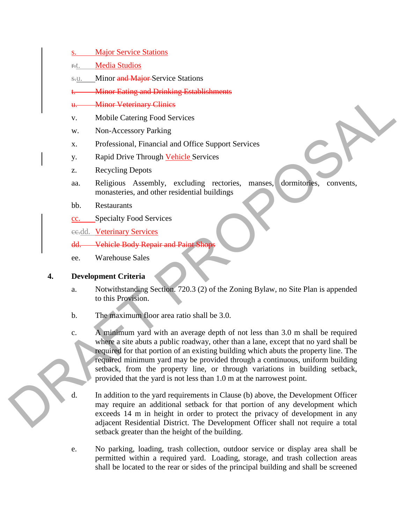**Example 2018**<br>
While Catering Food Services<br>
W. Mobile Catering Food Services<br>
W. Professional, Hunnelia and Office Support Services<br>
2. Proposition Hundrid and Office Support Services<br>
2. Rapid Dive Through <u>Velicle</u> Se s. Major Service Stations r.t. Media Studios s.u. Minor and Major-Service Stations **Minor Eating and Drinking Establishments** u. Minor Veterinary Clinics v. Mobile Catering Food Services w. Non-Accessory Parking x. Professional, Financial and Office Support Services y. Rapid Drive Through Vehicle Services z. Recycling Depots aa. Religious Assembly, excluding rectories, manses, dormitories, convents, monasteries, and other residential buildings bb. Restaurants cc. Specialty Food Services ee.dd. Veterinary Services dd. Vehicle Body Repair and Paint ee. Warehouse Sales

# **4. Development Criteria**

- a. Notwithstanding Section. 720.3 (2) of the Zoning Bylaw, no Site Plan is appended to this Provision.
- b. The maximum floor area ratio shall be 3.0.
- c. A minimum yard with an average depth of not less than 3.0 m shall be required where a site abuts a public roadway, other than a lane, except that no yard shall be required for that portion of an existing building which abuts the property line. The required minimum yard may be provided through a continuous, uniform building setback, from the property line, or through variations in building setback, provided that the yard is not less than 1.0 m at the narrowest point.
- d. In addition to the yard requirements in Clause (b) above, the Development Officer may require an additional setback for that portion of any development which exceeds 14 m in height in order to protect the privacy of development in any adjacent Residential District. The Development Officer shall not require a total setback greater than the height of the building.
- e. No parking, loading, trash collection, outdoor service or display area shall be permitted within a required yard. Loading, storage, and trash collection areas shall be located to the rear or sides of the principal building and shall be screened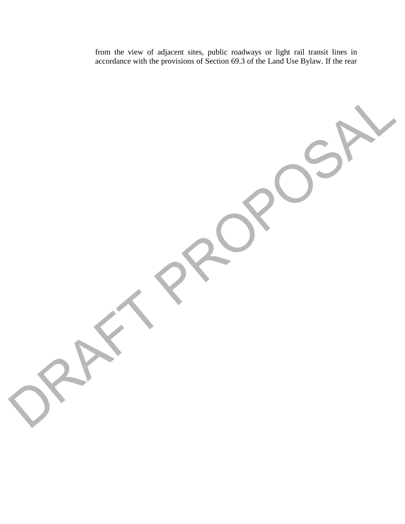from the view of adjacent sites, public roadways or light rail transit lines in accordance with the provisions of Section 69.3 of the Land Use Bylaw. If the rear

ORAFT PROPOSAL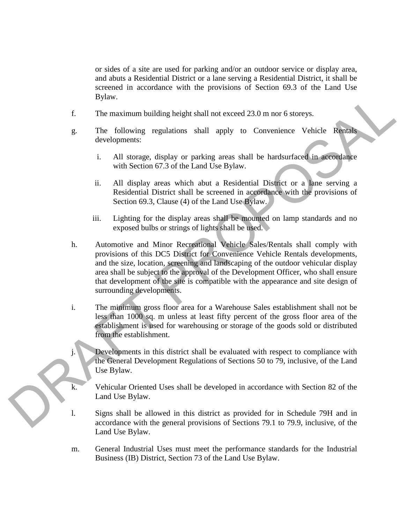or sides of a site are used for parking and/or an outdoor service or display area, and abuts a Residential District or a lane serving a Residential District, it shall be screened in accordance with the provisions of Section 69.3 of the Land Use Bylaw.

- f. The maximum building height shall not exceed 23.0 m nor 6 storeys.
- g. The following regulations shall apply to Convenience Vehicle Rentals developments:
	- i. All storage, display or parking areas shall be hardsurfaced in accordance with Section 67.3 of the Land Use Bylaw.
	- ii. All display areas which abut a Residential District or a lane serving a Residential District shall be screened in accordance with the provisions of Section 69.3, Clause (4) of the Land Use Bylaw.
	- iii. Lighting for the display areas shall be mounted on lamp standards and no exposed bulbs or strings of lights shall be used.
- Bylaw.<br>
1914 Entertainment building height shall and exceed 23.0 m or 6 storeys.<br>
The findlewing regulations shall apply to Convenience Vehicle Kanada developments<br>
1. All storeys, disply or packing areas shall be hardsur h. Automotive and Minor Recreational Vehicle Sales/Rentals shall comply with provisions of this DC5 District for Convenience Vehicle Rentals developments, and the size, location, screening and landscaping of the outdoor vehicular display area shall be subject to the approval of the Development Officer, who shall ensure that development of the site is compatible with the appearance and site design of surrounding developments.
	- i. The minimum gross floor area for a Warehouse Sales establishment shall not be less than 1000 sq. m unless at least fifty percent of the gross floor area of the establishment is used for warehousing or storage of the goods sold or distributed from the establishment.
	- j. Developments in this district shall be evaluated with respect to compliance with the General Development Regulations of Sections 50 to 79, inclusive, of the Land Use Bylaw.
	- k. Vehicular Oriented Uses shall be developed in accordance with Section 82 of the Land Use Bylaw.
	- l. Signs shall be allowed in this district as provided for in Schedule 79H and in accordance with the general provisions of Sections 79.1 to 79.9, inclusive, of the Land Use Bylaw.
	- m. General Industrial Uses must meet the performance standards for the Industrial Business (IB) District, Section 73 of the Land Use Bylaw.